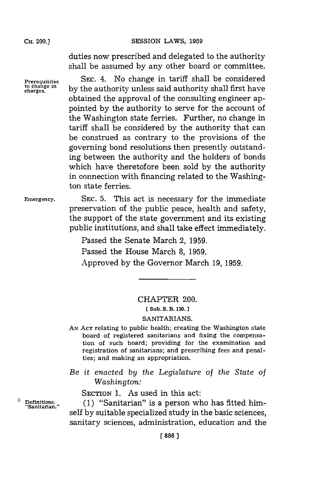duties now prescribed and delegated to the authority shall be assumed **by** any other board or committee.

**Prerequisites SEC.** 4. No change in tariff shall be considered to change in by the authority unless said authority shall first have obtained the approval of the consulting engineer appointed **by** the authority to serve for the account of the Washington state ferries. Further, no change in tariff shall be considered **by** the authority that can be construed as contrary to the provisions of the governing bond resolutions then presently outstanding between the authority and the holders of bonds which have theretofore been sold **by** the authority in connection with financing related to the Washington state ferries.

**Emergency.** SEC. **5.** This act is necessary for the immediate preservation of the public peace, health and safety, the support of the state government and its existing public institutions, and shall take effect immediately.

> Passed the Senate March 2, **1959.** Passed the House March **8, 1959.** Approved **by** the Governor March **19, 1959.**

## CHAPTER 200.

## **[Sub. S. B. 130.**

## SANITARIANS.

**AN ACT** relating to public health; creating the Washington state board of registered sanitarians and fixing the compensation of such board; providing for the examination and **registration of sanitarians;** and prescribing fees and penal**ties; and making an appropriation.**

*Be it enacted by the Legislature of the State of Washington:*

SECTION 1. As used in this act:

**"Sanitarian."**

<sup>0</sup> Definitions. (1) "Sanitarian" is a person who has fitted himself **by** suitable specialized study in the basic sciences, sanitary sciences, administration, education and the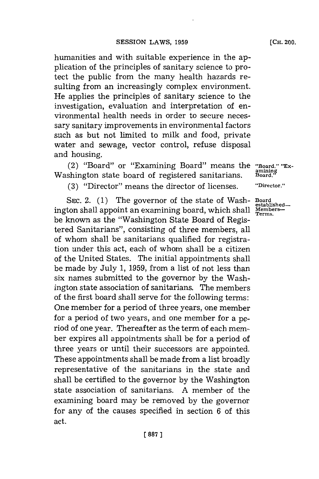humanities and with suitable experience in the application of the principles of sanitary science to protect the public from the many health hazards resulting from an increasingly complex environment. He applies the principles of sanitary science to the investigation, evaluation and interpretation of enviromnental health needs in order to secure necessary sanitary improvements in environmental factors such as but not limited to milk and food, private water and sewage, vector control, refuse disposal and housing.

(2) "Board" or "Examining Board" means the "Board," "Ex-<br>shington state board of registered sanitarians **Board**," Washington state board of registered sanitarians.

**(3)** "Director" means the director of licenses. **'Director."**

**SEC.** 2. **(1)** The governor of the state of Wash- **Board** ington shall appoint an examining board, which shall be known as the "Washington State Board of Registered Sanitarians", consisting of three members, all of whom shall be sanitarians qualified for registration under this act, each of whom shall be a citizen of the United States. The initial appointments shall be made **by** July **1, 1959,** from a list of not less than six names submitted to the governor **by** the Washington state association of sanitarians. The members of the first board shall serve for the following terms: One member for a period of three years, one member for a period of two years, and one member for a period of one year. Thereafter as the term of each member expires all appointments shall be for a period of three years or until their successors are appointed. These appointments shall be made from a list broadly representative of the sanitarians in the state and shall be certified to the governor **by** the Washington state association of sanitarians. **A** member of the examining board may be removed **by** the governor for any of the causes specified in section **6** of this act.

established—<br>Members—<br>Terms.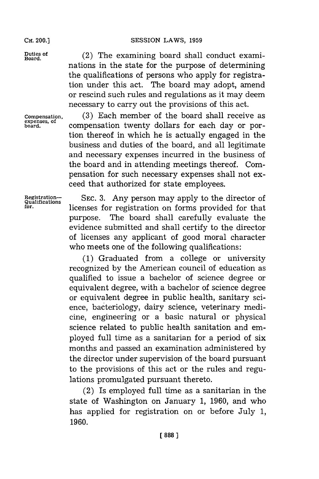**Duties of Board.**

**Compensation, expenses, of board.**

**SESSION LAWS, 1959** 

(2) The examining board shall conduct examinations in the state for the purpose of determining the qualifications of persons who apply for registration under this act. The board may adopt, amend or rescind such rules and regulations as it may deem necessary to carry out the provisions of this act.

**(3)** Each member of the board shall receive as compensation twenty dollars for each day or portion thereof in which he is actually engaged in the business and duties of the board, and all legitimate and necessary expenses incurred in the business of the board and in attending meetings thereof. Compensation for such necessary expenses shall not exceed that authorized for state employees.

**Registration- SEC. 3.** Any person may apply to the director of **Qualifications for,** licenses for registration on forms provided for that purpose. The board shall carefully evaluate the evidence submitted and shall certify to the director of licenses any applicant of good moral character who meets one of the following qualifications:

> **(1)** Graduated from a college or university recognized **by** the American council of education as qualified to issue a bachelor of science degree or equivalent degree, with a bachelor of science degree or equivalent degree in public health, sanitary science, bacteriology, dairy science, veterinary medicine, engineering or a basic natural or physical science related to public health sanitation and employed full time as a sanitarian for a period of six months and passed an examination administered **by** the director under supervision of the board pursuant to the provisions of this act or the rules and regulations promulgated pursuant thereto.

> (2) Is employed full time as a sanitarian in the state of Washington on January **1, 1960,** and who has applied for registration on or before July **1, 1960.**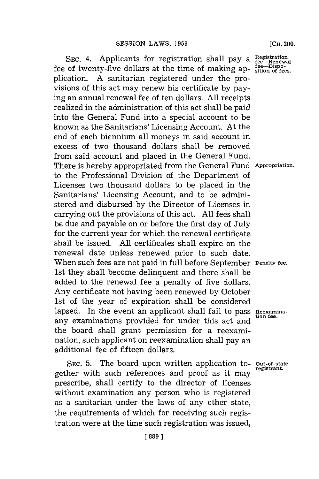SEC. 4. Applicants for registration shall pay a  $Res_{\text{f}e\rightarrow\text{f}}$ fee of twenty-five dollars at the time of making ap-  $\frac{\text{fee}-\text{Dispo}}{\text{stion of fe}}$ plication. **A** sanitarian registered under the provisions of this act may renew his certificate **by** paying an annual renewal fee of ten dollars. **All** receipts realized in the administration of this act shall be paid into the General Fund into a special account to be known as the Sanitarians' Licensing Account. At the end of each biennium all moneys in said account in excess of two thousand dollars shall be removed from said account and placed in the General Fund. There is hereby appropriated from the General Fund **Appropriation.** to the Professional Division of the Department of Licenses two thousand dollars to be placed in the Sanitarians' Licensing Account, and to be administered and disbursed **by** the Director of Licenses in carrying out the provisions of this act. **All** fees shall be due and payable on or before the first day of July for the current year for which the renewal certificate shall be issued. **All** certificates shall expire on the renewal date unless renewed prior to such date. When such fees are not paid in full before September **Penalty** fee. 1st they shall become delinquent and there shall be added to the renewal fee a penalty of five dollars. Any certificate not having been renewed **by** October 1st of the year of expiration shall be considered lapsed. In the event an applicant shall fail to pass Reexaminaany examinations provided for under this act and the board shall grant permission for a reexamination, such applicant on reexamination shall pay an additional fee of fifteen dollars.

**SEC. 5.** The board upon written application to- **Out-of-state** gether with such references and proof as it may prescribe, shall certify to the director of licenses without examination any person who is registered as a sanitarian under the laws of any other state, the requirements of which for receiving such registration were at the time such registration was issued,

**[CH.** 200.

**[ 889]1**